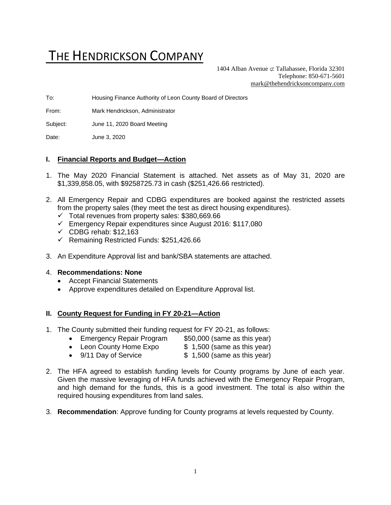# THE HENDRICKSON COMPANY

1404 Alban Avenue  $\sigma$  Tallahassee, Florida 32301 Telephone: 850-671-5601 [mark@thehendricksoncompany.com](mailto:mark@thehendricksoncompany.com)

To: Housing Finance Authority of Leon County Board of Directors

From: Mark Hendrickson, Administrator

Subject: June 11, 2020 Board Meeting

Date: June 3, 2020

#### **I. Financial Reports and Budget—Action**

- 1. The May 2020 Financial Statement is attached. Net assets as of May 31, 2020 are \$1,339,858.05, with \$9258725.73 in cash (\$251,426.66 restricted).
- 2. All Emergency Repair and CDBG expenditures are booked against the restricted assets from the property sales (they meet the test as direct housing expenditures).
	- $\checkmark$  Total revenues from property sales: \$380,669.66
	- ✓ Emergency Repair expenditures since August 2016: \$117,080
	- $\checkmark$  CDBG rehab: \$12,163
	- ✓ Remaining Restricted Funds: \$251,426.66
- 3. An Expenditure Approval list and bank/SBA statements are attached.

#### 4. **Recommendations: None**

- Accept Financial Statements
- Approve expenditures detailed on Expenditure Approval list.

## **II. County Request for Funding in FY 20-21—Action**

- 1. The County submitted their funding request for FY 20-21, as follows:
	- Emergency Repair Program \$50,000 (same as this year)
	- Leon County Home Expo  $$ 1,500$  (same as this year)
	- 9/11 Day of Service \$ 1,500 (same as this year)
- 2. The HFA agreed to establish funding levels for County programs by June of each year. Given the massive leveraging of HFA funds achieved with the Emergency Repair Program, and high demand for the funds, this is a good investment. The total is also within the required housing expenditures from land sales.
- 3. **Recommendation**: Approve funding for County programs at levels requested by County.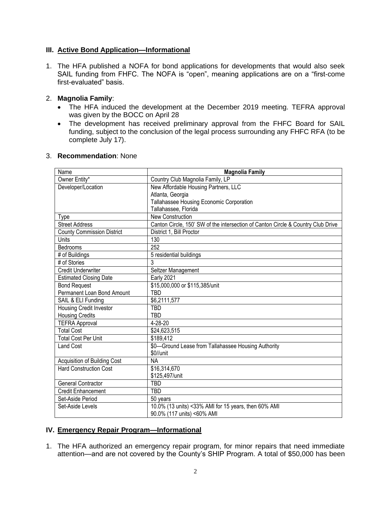# **III. Active Bond Application—Informational**

1. The HFA published a NOFA for bond applications for developments that would also seek SAIL funding from FHFC. The NOFA is "open", meaning applications are on a "first-come first-evaluated" basis.

# 2. **Magnolia Family**:

- The HFA induced the development at the December 2019 meeting. TEFRA approval was given by the BOCC on April 28
- The development has received preliminary approval from the FHFC Board for SAIL funding, subject to the conclusion of the legal process surrounding any FHFC RFA (to be complete July 17).

| Name                                | <b>Magnolia Family</b>                                                           |
|-------------------------------------|----------------------------------------------------------------------------------|
| Owner Entity*                       | Country Club Magnolia Family, LP                                                 |
| Developer/Location                  | New Affordable Housing Partners, LLC                                             |
|                                     | Atlanta, Georgia                                                                 |
|                                     | Tallahassee Housing Economic Corporation                                         |
|                                     | Tallahassee, Florida                                                             |
| Type                                | <b>New Construction</b>                                                          |
| <b>Street Address</b>               | Canton Circle, 150' SW of the intersection of Canton Circle & Country Club Drive |
| <b>County Commission District</b>   | District 1, Bill Proctor                                                         |
| Units                               | 130                                                                              |
| Bedrooms                            | 252                                                                              |
| # of Buildings                      | 5 residential buildings                                                          |
| # of Stories                        | 3                                                                                |
| <b>Credit Underwriter</b>           | Seltzer Management                                                               |
| <b>Estimated Closing Date</b>       | <b>Early 2021</b>                                                                |
| <b>Bond Request</b>                 | \$15,000,000 or \$115,385/unit                                                   |
| Permanent Loan Bond Amount          | <b>TBD</b>                                                                       |
| SAIL & ELI Funding                  | $\overline{$6,2111,577}$                                                         |
| Housing Credit Investor             | TBD                                                                              |
| <b>Housing Credits</b>              | TBD                                                                              |
| <b>TEFRA Approval</b>               | 4-28-20                                                                          |
| <b>Total Cost</b>                   | \$24,623,515                                                                     |
| <b>Total Cost Per Unit</b>          | \$189,412                                                                        |
| <b>Land Cost</b>                    | \$0-Ground Lease from Tallahassee Housing Authority                              |
|                                     | \$0//unit                                                                        |
| <b>Acquisition of Building Cost</b> | <b>NA</b>                                                                        |
| <b>Hard Construction Cost</b>       | \$16,314,670                                                                     |
|                                     | \$125,497/unit                                                                   |
| <b>General Contractor</b>           | TBD                                                                              |
| <b>Credit Enhancement</b>           | <b>TBD</b>                                                                       |
| Set-Aside Period                    | 50 years                                                                         |
| Set-Aside Levels                    | 10.0% (13 units) <33% AMI for 15 years, then 60% AMI                             |
|                                     | 90.0% (117 units) <60% AMI                                                       |

## 3. **Recommendation**: None

## **IV. Emergency Repair Program—Informational**

1. The HFA authorized an emergency repair program, for minor repairs that need immediate attention—and are not covered by the County's SHIP Program. A total of \$50,000 has been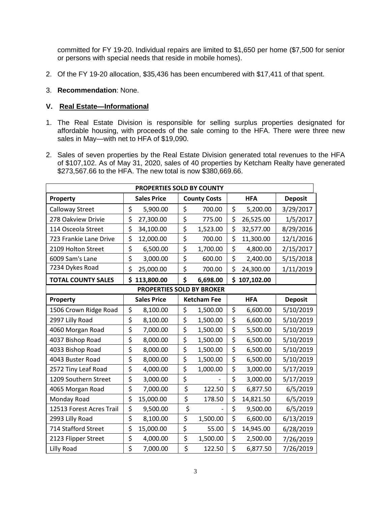committed for FY 19-20. Individual repairs are limited to \$1,650 per home (\$7,500 for senior or persons with special needs that reside in mobile homes).

- 2. Of the FY 19-20 allocation, \$35,436 has been encumbered with \$17,411 of that spent.
- 3. **Recommendation**: None.

#### **V. Real Estate—Informational**

- 1. The Real Estate Division is responsible for selling surplus properties designated for affordable housing, with proceeds of the sale coming to the HFA. There were three new sales in May—with net to HFA of \$19,090.
- 2. Sales of seven properties by the Real Estate Division generated total revenues to the HFA of \$107,102. As of May 31, 2020, sales of 40 properties by Ketcham Realty have generated \$273,567.66 to the HFA. The new total is now \$380,669.66.

| PROPERTIES SOLD BY COUNTY |                    |           |    |                     |              |            |                |
|---------------------------|--------------------|-----------|----|---------------------|--------------|------------|----------------|
| Property                  | <b>Sales Price</b> |           |    | <b>County Costs</b> |              | <b>HFA</b> | <b>Deposit</b> |
| <b>Calloway Street</b>    | \$                 | 5,900.00  | \$ | 700.00              | \$           | 5,200.00   | 3/29/2017      |
| 278 Oakview Drivie        | \$                 | 27,300.00 | \$ | 775.00              | \$           | 26,525.00  | 1/5/2017       |
| 114 Osceola Street        | \$                 | 34,100.00 | \$ | 1,523.00            | \$           | 32,577.00  | 8/29/2016      |
| 723 Frankie Lane Drive    | \$                 | 12,000.00 | \$ | 700.00              | \$           | 11,300.00  | 12/1/2016      |
| 2109 Holton Street        | \$                 | 6,500.00  | \$ | 1,700.00            | \$           | 4,800.00   | 2/15/2017      |
| 6009 Sam's Lane           | \$                 | 3,000.00  | \$ | 600.00              | \$           | 2,400.00   | 5/15/2018      |
| 7234 Dykes Road           | \$                 | 25,000.00 | \$ | 700.00              | \$           | 24,300.00  | 1/11/2019      |
| <b>TOTAL COUNTY SALES</b> | \$113,800.00       |           | \$ | 6,698.00            | \$107,102.00 |            |                |
| PROPERTIES SOLD BY BROKER |                    |           |    |                     |              |            |                |
| Property                  | <b>Sales Price</b> |           |    | <b>Ketcham Fee</b>  |              | <b>HFA</b> | <b>Deposit</b> |
| 1506 Crown Ridge Road     | \$                 | 8,100.00  | \$ | 1,500.00            | \$           | 6,600.00   | 5/10/2019      |
| 2997 Lilly Road           | \$                 | 8,100.00  | \$ | 1,500.00            | \$           | 6,600.00   | 5/10/2019      |
| 4060 Morgan Road          | \$                 | 7,000.00  | \$ | 1,500.00            | \$           | 5,500.00   | 5/10/2019      |
| 4037 Bishop Road          | \$                 | 8,000.00  | \$ | 1,500.00            | \$           | 6,500.00   | 5/10/2019      |
| 4033 Bishop Road          | \$                 | 8,000.00  | \$ | 1,500.00            | \$           | 6,500.00   | 5/10/2019      |
| 4043 Buster Road          | \$                 | 8,000.00  | \$ | 1,500.00            | \$           | 6,500.00   | 5/10/2019      |
| 2572 Tiny Leaf Road       | \$                 | 4,000.00  | \$ | 1,000.00            | \$           | 3,000.00   | 5/17/2019      |
| 1209 Southern Street      | \$                 | 3,000.00  | \$ |                     | \$           | 3,000.00   | 5/17/2019      |
| 4065 Morgan Road          | \$                 | 7,000.00  | \$ | 122.50              | \$           | 6,877.50   | 6/5/2019       |
| Monday Road               | \$                 | 15,000.00 | \$ | 178.50              | \$           | 14,821.50  | 6/5/2019       |
| 12513 Forest Acres Trail  | \$                 | 9,500.00  | \$ |                     | \$           | 9,500.00   | 6/5/2019       |
| 2993 Lilly Road           | \$                 | 8,100.00  | \$ | 1,500.00            | \$           | 6,600.00   | 6/13/2019      |
| 714 Stafford Street       | \$                 | 15,000.00 | \$ | 55.00               | \$           | 14,945.00  | 6/28/2019      |
| 2123 Flipper Street       | \$                 | 4,000.00  | \$ | 1,500.00            | \$           | 2,500.00   | 7/26/2019      |
| Lilly Road                | \$                 | 7,000.00  | \$ | 122.50              | \$           | 6,877.50   | 7/26/2019      |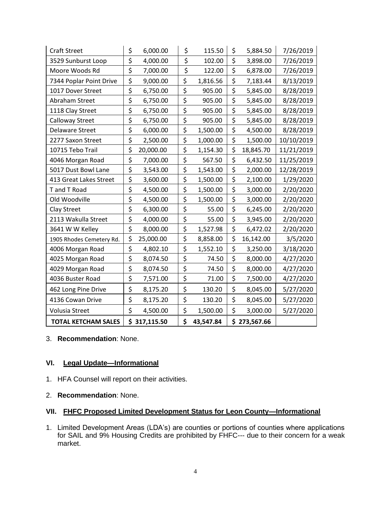| <b>Craft Street</b>        | \$                              | 6,000.00   | \$ | 115.50    | \$           | 5,884.50  | 7/26/2019  |
|----------------------------|---------------------------------|------------|----|-----------|--------------|-----------|------------|
| 3529 Sunburst Loop         | $\overline{\boldsymbol{\zeta}}$ | 4,000.00   | \$ | 102.00    | \$           | 3,898.00  | 7/26/2019  |
| Moore Woods Rd             | \$<br>7,000.00                  |            | \$ | 122.00    | \$           | 6,878.00  | 7/26/2019  |
| 7344 Poplar Point Drive    | \$                              | 9,000.00   |    | 1,816.56  | \$           | 7,183.44  | 8/13/2019  |
| 1017 Dover Street          | \$                              | 6,750.00   | \$ | 905.00    | \$           | 5,845.00  | 8/28/2019  |
| Abraham Street             | \$                              | 6,750.00   | \$ | 905.00    | \$           | 5,845.00  | 8/28/2019  |
| 1118 Clay Street           | \$                              | 6,750.00   | \$ | 905.00    | \$           | 5,845.00  | 8/28/2019  |
| <b>Calloway Street</b>     | \$                              | 6,750.00   | \$ | 905.00    | \$           | 5,845.00  | 8/28/2019  |
| <b>Delaware Street</b>     | \$                              | 6,000.00   | \$ | 1,500.00  | \$           | 4,500.00  | 8/28/2019  |
| 2277 Saxon Street          | \$                              | 2,500.00   | \$ | 1,000.00  | \$           | 1,500.00  | 10/10/2019 |
| 10715 Tebo Trail           | \$                              | 20,000.00  | \$ | 1,154.30  | \$           | 18,845.70 | 11/21/2019 |
| 4046 Morgan Road           | \$                              | 7,000.00   | \$ | 567.50    | \$           | 6,432.50  | 11/25/2019 |
| 5017 Dust Bowl Lane        | \$                              | 3,543.00   | \$ | 1,543.00  | \$           | 2,000.00  | 12/28/2019 |
| 413 Great Lakes Street     | \$                              | 3,600.00   | \$ | 1,500.00  | \$           | 2,100.00  | 1/29/2020  |
| T and T Road               | \$                              | 4,500.00   | \$ | 1,500.00  | \$           | 3,000.00  | 2/20/2020  |
| Old Woodville              | \$                              | 4,500.00   | \$ | 1,500.00  | \$           | 3,000.00  | 2/20/2020  |
| Clay Street                | \$                              | 6,300.00   | \$ | 55.00     | \$           | 6,245.00  | 2/20/2020  |
| 2113 Wakulla Street        | \$                              | 4,000.00   | \$ | 55.00     | \$           | 3,945.00  | 2/20/2020  |
| 3641 W W Kelley            | \$                              | 8,000.00   | \$ | 1,527.98  | \$           | 6,472.02  | 2/20/2020  |
| 1905 Rhodes Cemetery Rd.   | \$                              | 25,000.00  | \$ | 8,858.00  | \$           | 16,142.00 | 3/5/2020   |
| 4006 Morgan Road           | \$                              | 4,802.10   | \$ | 1,552.10  | \$           | 3,250.00  | 3/18/2020  |
| 4025 Morgan Road           | \$                              | 8,074.50   | \$ | 74.50     | \$           | 8,000.00  | 4/27/2020  |
| 4029 Morgan Road           | \$                              | 8,074.50   | \$ | 74.50     | \$           | 8,000.00  | 4/27/2020  |
| 4036 Buster Road           | \$                              | 7,571.00   | \$ | 71.00     | \$           | 7,500.00  | 4/27/2020  |
| 462 Long Pine Drive        | \$                              | 8,175.20   | \$ | 130.20    | \$           | 8,045.00  | 5/27/2020  |
| 4136 Cowan Drive           | \$                              | 8,175.20   | \$ | 130.20    | \$           | 8,045.00  | 5/27/2020  |
| Volusia Street             | \$                              | 4,500.00   | \$ | 1,500.00  | \$           | 3,000.00  | 5/27/2020  |
| <b>TOTAL KETCHAM SALES</b> | \$                              | 317,115.50 | \$ | 43,547.84 | \$273,567.66 |           |            |

3. **Recommendation**: None.

## **VI. Legal Update—Informational**

- 1. HFA Counsel will report on their activities.
- 2. **Recommendation**: None.

# **VII. FHFC Proposed Limited Development Status for Leon County—Informational**

1. Limited Development Areas (LDA's) are counties or portions of counties where applications for SAIL and 9% Housing Credits are prohibited by FHFC--- due to their concern for a weak market.